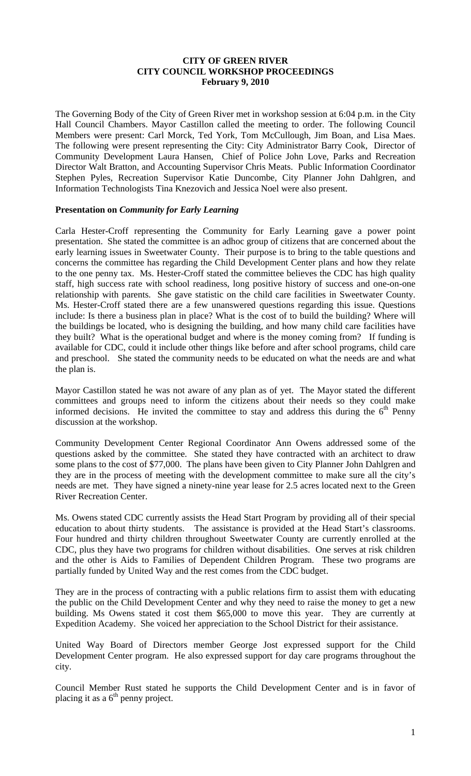#### **CITY OF GREEN RIVER CITY COUNCIL WORKSHOP PROCEEDINGS February 9, 2010**

The Governing Body of the City of Green River met in workshop session at 6:04 p.m. in the City Hall Council Chambers. Mayor Castillon called the meeting to order. The following Council Members were present: Carl Morck, Ted York, Tom McCullough, Jim Boan, and Lisa Maes. The following were present representing the City: City Administrator Barry Cook, Director of Community Development Laura Hansen, Chief of Police John Love, Parks and Recreation Director Walt Bratton, and Accounting Supervisor Chris Meats. Public Information Coordinator Stephen Pyles, Recreation Supervisor Katie Duncombe, City Planner John Dahlgren, and Information Technologists Tina Knezovich and Jessica Noel were also present.

#### **Presentation on** *Community for Early Learning*

Carla Hester-Croff representing the Community for Early Learning gave a power point presentation. She stated the committee is an adhoc group of citizens that are concerned about the early learning issues in Sweetwater County. Their purpose is to bring to the table questions and concerns the committee has regarding the Child Development Center plans and how they relate to the one penny tax. Ms. Hester-Croff stated the committee believes the CDC has high quality staff, high success rate with school readiness, long positive history of success and one-on-one relationship with parents. She gave statistic on the child care facilities in Sweetwater County. Ms. Hester-Croff stated there are a few unanswered questions regarding this issue. Questions include: Is there a business plan in place? What is the cost of to build the building? Where will the buildings be located, who is designing the building, and how many child care facilities have they built? What is the operational budget and where is the money coming from? If funding is available for CDC, could it include other things like before and after school programs, child care and preschool. She stated the community needs to be educated on what the needs are and what the plan is.

Mayor Castillon stated he was not aware of any plan as of yet. The Mayor stated the different committees and groups need to inform the citizens about their needs so they could make informed decisions. He invited the committee to stay and address this during the  $6<sup>th</sup>$  Penny discussion at the workshop.

Community Development Center Regional Coordinator Ann Owens addressed some of the questions asked by the committee. She stated they have contracted with an architect to draw some plans to the cost of \$77,000. The plans have been given to City Planner John Dahlgren and they are in the process of meeting with the development committee to make sure all the city's needs are met. They have signed a ninety-nine year lease for 2.5 acres located next to the Green River Recreation Center.

Ms. Owens stated CDC currently assists the Head Start Program by providing all of their special education to about thirty students. The assistance is provided at the Head Start's classrooms. Four hundred and thirty children throughout Sweetwater County are currently enrolled at the CDC, plus they have two programs for children without disabilities. One serves at risk children and the other is Aids to Families of Dependent Children Program. These two programs are partially funded by United Way and the rest comes from the CDC budget.

They are in the process of contracting with a public relations firm to assist them with educating the public on the Child Development Center and why they need to raise the money to get a new building. Ms Owens stated it cost them \$65,000 to move this year. They are currently at Expedition Academy. She voiced her appreciation to the School District for their assistance.

United Way Board of Directors member George Jost expressed support for the Child Development Center program. He also expressed support for day care programs throughout the city.

Council Member Rust stated he supports the Child Development Center and is in favor of placing it as a  $6<sup>th</sup>$  penny project.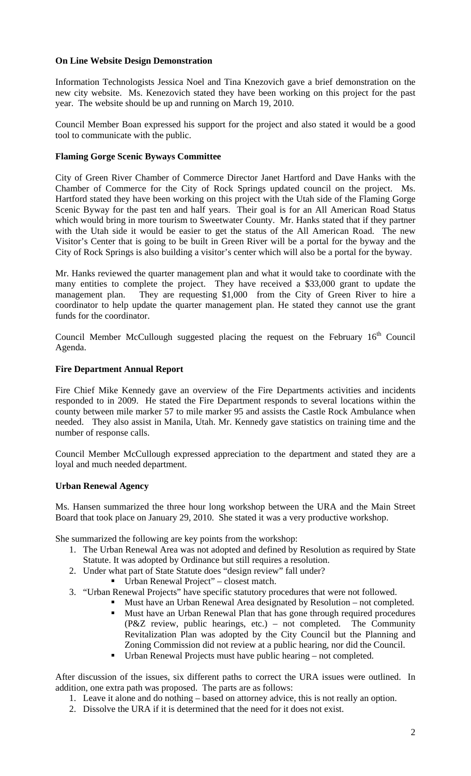### **On Line Website Design Demonstration**

Information Technologists Jessica Noel and Tina Knezovich gave a brief demonstration on the new city website. Ms. Kenezovich stated they have been working on this project for the past year. The website should be up and running on March 19, 2010.

Council Member Boan expressed his support for the project and also stated it would be a good tool to communicate with the public.

### **Flaming Gorge Scenic Byways Committee**

City of Green River Chamber of Commerce Director Janet Hartford and Dave Hanks with the Chamber of Commerce for the City of Rock Springs updated council on the project. Ms. Hartford stated they have been working on this project with the Utah side of the Flaming Gorge Scenic Byway for the past ten and half years. Their goal is for an All American Road Status which would bring in more tourism to Sweetwater County. Mr. Hanks stated that if they partner with the Utah side it would be easier to get the status of the All American Road. The new Visitor's Center that is going to be built in Green River will be a portal for the byway and the City of Rock Springs is also building a visitor's center which will also be a portal for the byway.

Mr. Hanks reviewed the quarter management plan and what it would take to coordinate with the many entities to complete the project. They have received a \$33,000 grant to update the management plan. They are requesting \$1,000 from the City of Green River to hire a coordinator to help update the quarter management plan. He stated they cannot use the grant funds for the coordinator.

Council Member McCullough suggested placing the request on the February  $16<sup>th</sup>$  Council Agenda.

#### **Fire Department Annual Report**

Fire Chief Mike Kennedy gave an overview of the Fire Departments activities and incidents responded to in 2009. He stated the Fire Department responds to several locations within the county between mile marker 57 to mile marker 95 and assists the Castle Rock Ambulance when needed. They also assist in Manila, Utah. Mr. Kennedy gave statistics on training time and the number of response calls.

Council Member McCullough expressed appreciation to the department and stated they are a loyal and much needed department.

#### **Urban Renewal Agency**

Ms. Hansen summarized the three hour long workshop between the URA and the Main Street Board that took place on January 29, 2010. She stated it was a very productive workshop.

She summarized the following are key points from the workshop:

- 1. The Urban Renewal Area was not adopted and defined by Resolution as required by State Statute. It was adopted by Ordinance but still requires a resolution.
- 2. Under what part of State Statute does "design review" fall under?
	- Urban Renewal Project" closest match.
- 3. "Urban Renewal Projects" have specific statutory procedures that were not followed.
	- Must have an Urban Renewal Area designated by Resolution not completed.<br>■ Must have an Urban Renewal Plan that has gone through required procedures Must have an Urban Renewal Plan that has gone through required procedures (P&Z review, public hearings, etc.) – not completed. The Community Revitalization Plan was adopted by the City Council but the Planning and Zoning Commission did not review at a public hearing, nor did the Council.
	- Urban Renewal Projects must have public hearing not completed.

After discussion of the issues, six different paths to correct the URA issues were outlined. In addition, one extra path was proposed. The parts are as follows:

- 1. Leave it alone and do nothing based on attorney advice, this is not really an option.
- 2. Dissolve the URA if it is determined that the need for it does not exist.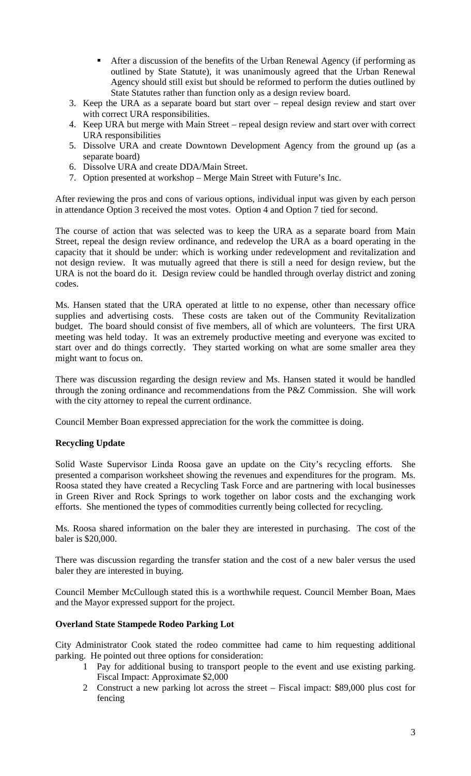- After a discussion of the benefits of the Urban Renewal Agency (if performing as outlined by State Statute), it was unanimously agreed that the Urban Renewal Agency should still exist but should be reformed to perform the duties outlined by State Statutes rather than function only as a design review board.
- 3. Keep the URA as a separate board but start over repeal design review and start over with correct URA responsibilities.
- 4. Keep URA but merge with Main Street repeal design review and start over with correct URA responsibilities
- 5. Dissolve URA and create Downtown Development Agency from the ground up (as a separate board)
- 6. Dissolve URA and create DDA/Main Street.
- 7. Option presented at workshop Merge Main Street with Future's Inc.

After reviewing the pros and cons of various options, individual input was given by each person in attendance Option 3 received the most votes. Option 4 and Option 7 tied for second.

The course of action that was selected was to keep the URA as a separate board from Main Street, repeal the design review ordinance, and redevelop the URA as a board operating in the capacity that it should be under: which is working under redevelopment and revitalization and not design review. It was mutually agreed that there is still a need for design review, but the URA is not the board do it. Design review could be handled through overlay district and zoning codes.

Ms. Hansen stated that the URA operated at little to no expense, other than necessary office supplies and advertising costs. These costs are taken out of the Community Revitalization budget. The board should consist of five members, all of which are volunteers. The first URA meeting was held today. It was an extremely productive meeting and everyone was excited to start over and do things correctly. They started working on what are some smaller area they might want to focus on.

There was discussion regarding the design review and Ms. Hansen stated it would be handled through the zoning ordinance and recommendations from the P&Z Commission. She will work with the city attorney to repeal the current ordinance.

Council Member Boan expressed appreciation for the work the committee is doing.

## **Recycling Update**

Solid Waste Supervisor Linda Roosa gave an update on the City's recycling efforts. She presented a comparison worksheet showing the revenues and expenditures for the program. Ms. Roosa stated they have created a Recycling Task Force and are partnering with local businesses in Green River and Rock Springs to work together on labor costs and the exchanging work efforts. She mentioned the types of commodities currently being collected for recycling.

Ms. Roosa shared information on the baler they are interested in purchasing. The cost of the baler is \$20,000.

There was discussion regarding the transfer station and the cost of a new baler versus the used baler they are interested in buying.

Council Member McCullough stated this is a worthwhile request. Council Member Boan, Maes and the Mayor expressed support for the project.

## **Overland State Stampede Rodeo Parking Lot**

City Administrator Cook stated the rodeo committee had came to him requesting additional parking. He pointed out three options for consideration:

- 1 Pay for additional busing to transport people to the event and use existing parking. Fiscal Impact: Approximate \$2,000
- 2 Construct a new parking lot across the street Fiscal impact: \$89,000 plus cost for fencing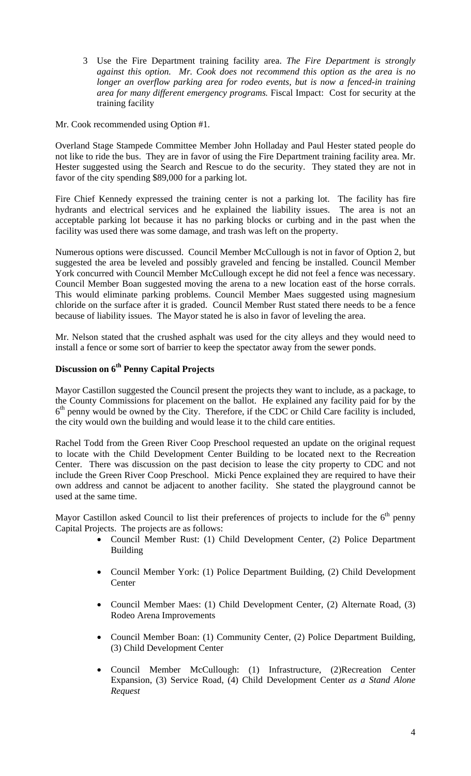3 Use the Fire Department training facility area. *The Fire Department is strongly against this option. Mr. Cook does not recommend this option as the area is no longer an overflow parking area for rodeo events, but is now a fenced-in training area for many different emergency programs.* Fiscal Impact: Cost for security at the training facility

Mr. Cook recommended using Option #1.

Overland Stage Stampede Committee Member John Holladay and Paul Hester stated people do not like to ride the bus. They are in favor of using the Fire Department training facility area. Mr. Hester suggested using the Search and Rescue to do the security. They stated they are not in favor of the city spending \$89,000 for a parking lot.

Fire Chief Kennedy expressed the training center is not a parking lot. The facility has fire hydrants and electrical services and he explained the liability issues. The area is not an acceptable parking lot because it has no parking blocks or curbing and in the past when the facility was used there was some damage, and trash was left on the property.

Numerous options were discussed. Council Member McCullough is not in favor of Option 2, but suggested the area be leveled and possibly graveled and fencing be installed. Council Member York concurred with Council Member McCullough except he did not feel a fence was necessary. Council Member Boan suggested moving the arena to a new location east of the horse corrals. This would eliminate parking problems. Council Member Maes suggested using magnesium chloride on the surface after it is graded. Council Member Rust stated there needs to be a fence because of liability issues. The Mayor stated he is also in favor of leveling the area.

Mr. Nelson stated that the crushed asphalt was used for the city alleys and they would need to install a fence or some sort of barrier to keep the spectator away from the sewer ponds.

## **Discussion on 6th Penny Capital Projects**

Mayor Castillon suggested the Council present the projects they want to include, as a package, to the County Commissions for placement on the ballot. He explained any facility paid for by the  $6<sup>th</sup>$  penny would be owned by the City. Therefore, if the CDC or Child Care facility is included, the city would own the building and would lease it to the child care entities.

Rachel Todd from the Green River Coop Preschool requested an update on the original request to locate with the Child Development Center Building to be located next to the Recreation Center. There was discussion on the past decision to lease the city property to CDC and not include the Green River Coop Preschool. Micki Pence explained they are required to have their own address and cannot be adjacent to another facility. She stated the playground cannot be used at the same time.

Mayor Castillon asked Council to list their preferences of projects to include for the  $6<sup>th</sup>$  penny Capital Projects. The projects are as follows:

- Council Member Rust: (1) Child Development Center, (2) Police Department Building
- Council Member York: (1) Police Department Building, (2) Child Development **Center**
- Council Member Maes: (1) Child Development Center, (2) Alternate Road, (3) Rodeo Arena Improvements
- Council Member Boan: (1) Community Center, (2) Police Department Building, (3) Child Development Center
- Council Member McCullough: (1) Infrastructure, (2)Recreation Center Expansion, (3) Service Road, (4) Child Development Center *as a Stand Alone Request*